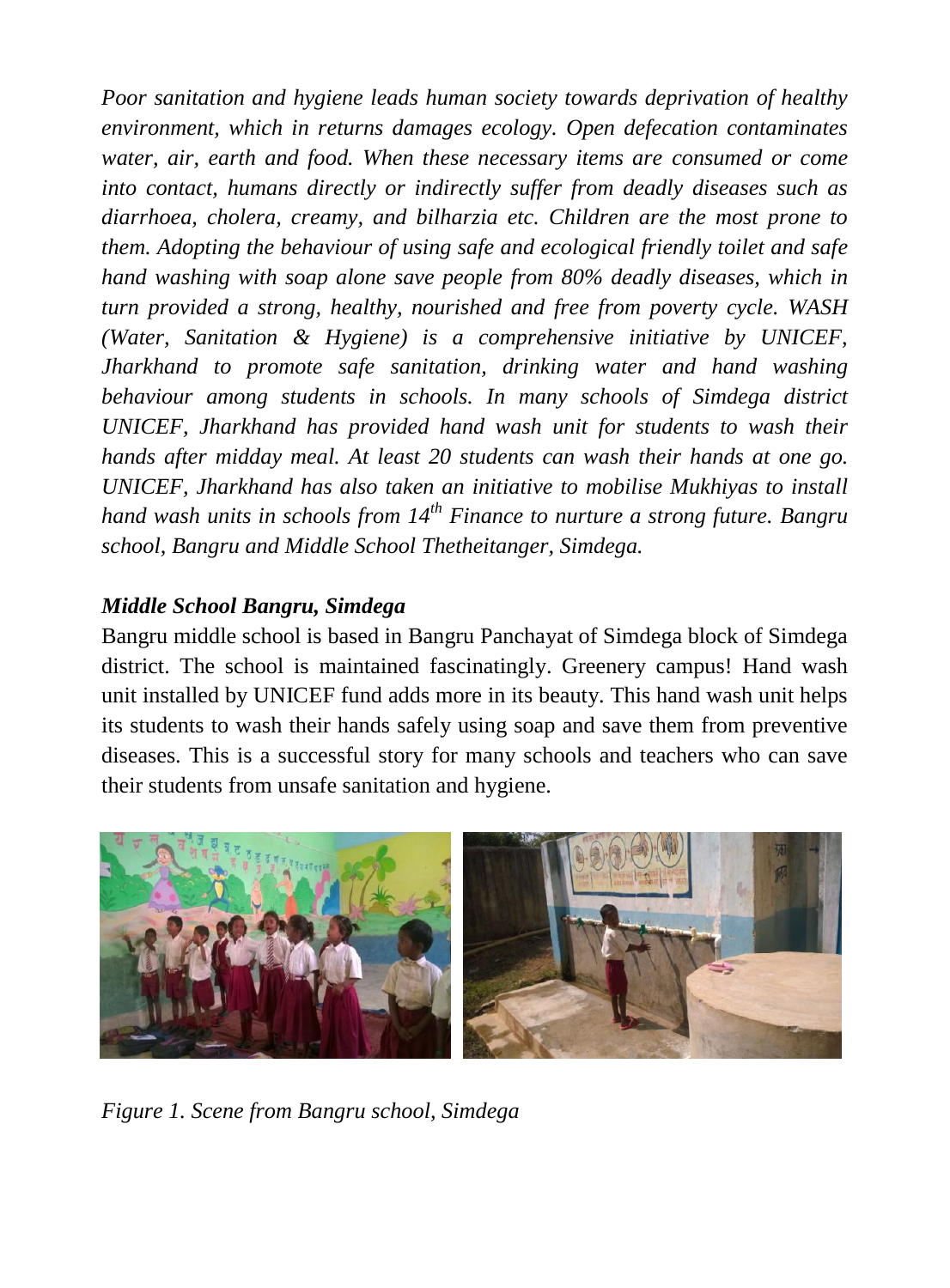*Poor sanitation and hygiene leads human society towards deprivation of healthy environment, which in returns damages ecology. Open defecation contaminates water, air, earth and food. When these necessary items are consumed or come into contact, humans directly or indirectly suffer from deadly diseases such as diarrhoea, cholera, creamy, and bilharzia etc. Children are the most prone to them. Adopting the behaviour of using safe and ecological friendly toilet and safe hand washing with soap alone save people from 80% deadly diseases, which in turn provided a strong, healthy, nourished and free from poverty cycle. WASH (Water, Sanitation & Hygiene) is a comprehensive initiative by UNICEF, Jharkhand to promote safe sanitation, drinking water and hand washing behaviour among students in schools. In many schools of Simdega district UNICEF, Jharkhand has provided hand wash unit for students to wash their hands after midday meal. At least 20 students can wash their hands at one go. UNICEF, Jharkhand has also taken an initiative to mobilise Mukhiyas to install hand wash units in schools from 14th Finance to nurture a strong future. Bangru school, Bangru and Middle School Thetheitanger, Simdega.* 

## *Middle School Bangru, Simdega*

Bangru middle school is based in Bangru Panchayat of Simdega block of Simdega district. The school is maintained fascinatingly. Greenery campus! Hand wash unit installed by UNICEF fund adds more in its beauty. This hand wash unit helps its students to wash their hands safely using soap and save them from preventive diseases. This is a successful story for many schools and teachers who can save their students from unsafe sanitation and hygiene.



*Figure 1. Scene from Bangru school, Simdega*